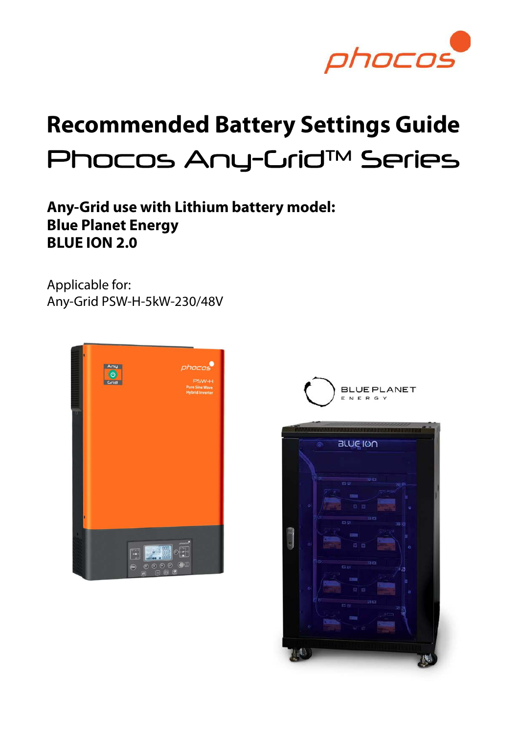

# Recommended Battery Settings Guide Phocos Any-Crid™ Series

# Any-Grid use with Lithium battery model: Blue Planet Energy BLUE ION 2.0

Applicable for: Any-Grid PSW-H-5kW-230/48V





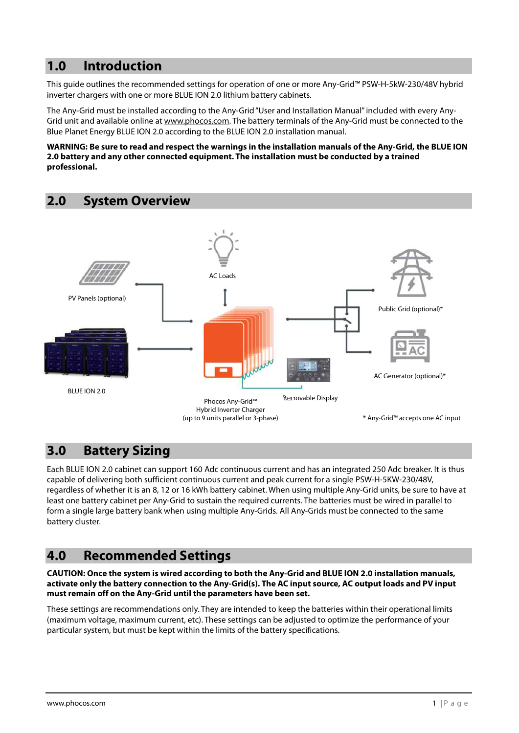## 1.0 Introduction

This guide outlines the recommended settings for operation of one or more Any-Grid™ PSW-H-5kW-230/48V hybrid inverter chargers with one or more BLUE ION 2.0 lithium battery cabinets.

The Any-Grid must be installed according to the Any-Grid "User and Installation Manual" included with every Any-Grid unit and available online at www.phocos.com. The battery terminals of the Any-Grid must be connected to the Blue Planet Energy BLUE ION 2.0 according to the BLUE ION 2.0 installation manual.

#### WARNING: Be sure to read and respect the warnings in the installation manuals of the Any-Grid, the BLUE ION 2.0 battery and any other connected equipment. The installation must be conducted by a trained professional.

#### 2.0 System Overview



## 3.0 Battery Sizing

Each BLUE ION 2.0 cabinet can support 160 Adc continuous current and has an integrated 250 Adc breaker. It is thus capable of delivering both sufficient continuous current and peak current for a single PSW-H-5KW-230/48V, regardless of whether it is an 8, 12 or 16 kWh battery cabinet. When using multiple Any-Grid units, be sure to have at least one battery cabinet per Any-Grid to sustain the required currents. The batteries must be wired in parallel to form a single large battery bank when using multiple Any-Grids. All Any-Grids must be connected to the same battery cluster.

### 4.0 Recommended Settings

#### CAUTION: Once the system is wired according to both the Any-Grid and BLUE ION 2.0 installation manuals, activate only the battery connection to the Any-Grid(s). The AC input source, AC output loads and PV input must remain off on the Any-Grid until the parameters have been set.

These settings are recommendations only. They are intended to keep the batteries within their operational limits (maximum voltage, maximum current, etc). These settings can be adjusted to optimize the performance of your particular system, but must be kept within the limits of the battery specifications.